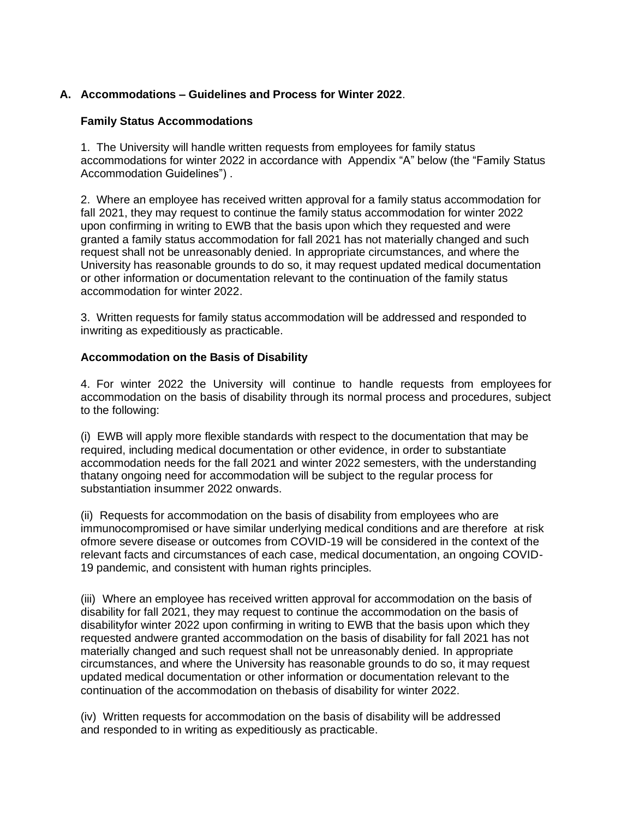# **A. Accommodations – Guidelines and Process for Winter 2022**.

# **Family Status Accommodations**

1. The University will handle written requests from employees for family status accommodations for winter 2022 in accordance with Appendix "A" below (the "Family Status Accommodation Guidelines") .

2. Where an employee has received written approval for a family status accommodation for fall 2021, they may request to continue the family status accommodation for winter 2022 upon confirming in writing to EWB that the basis upon which they requested and were granted a family status accommodation for fall 2021 has not materially changed and such request shall not be unreasonably denied. In appropriate circumstances, and where the University has reasonable grounds to do so, it may request updated medical documentation or other information or documentation relevant to the continuation of the family status accommodation for winter 2022.

3. Written requests for family status accommodation will be addressed and responded to inwriting as expeditiously as practicable.

### **Accommodation on the Basis of Disability**

4. For winter 2022 the University will continue to handle requests from employees for accommodation on the basis of disability through its normal process and procedures, subject to the following:

(i) EWB will apply more flexible standards with respect to the documentation that may be required, including medical documentation or other evidence, in order to substantiate accommodation needs for the fall 2021 and winter 2022 semesters, with the understanding thatany ongoing need for accommodation will be subject to the regular process for substantiation insummer 2022 onwards.

(ii) Requests for accommodation on the basis of disability from employees who are immunocompromised or have similar underlying medical conditions and are therefore at risk ofmore severe disease or outcomes from COVID-19 will be considered in the context of the relevant facts and circumstances of each case, medical documentation, an ongoing COVID-19 pandemic, and consistent with human rights principles.

(iii) Where an employee has received written approval for accommodation on the basis of disability for fall 2021, they may request to continue the accommodation on the basis of disabilityfor winter 2022 upon confirming in writing to EWB that the basis upon which they requested andwere granted accommodation on the basis of disability for fall 2021 has not materially changed and such request shall not be unreasonably denied. In appropriate circumstances, and where the University has reasonable grounds to do so, it may request updated medical documentation or other information or documentation relevant to the continuation of the accommodation on thebasis of disability for winter 2022.

(iv) Written requests for accommodation on the basis of disability will be addressed and responded to in writing as expeditiously as practicable.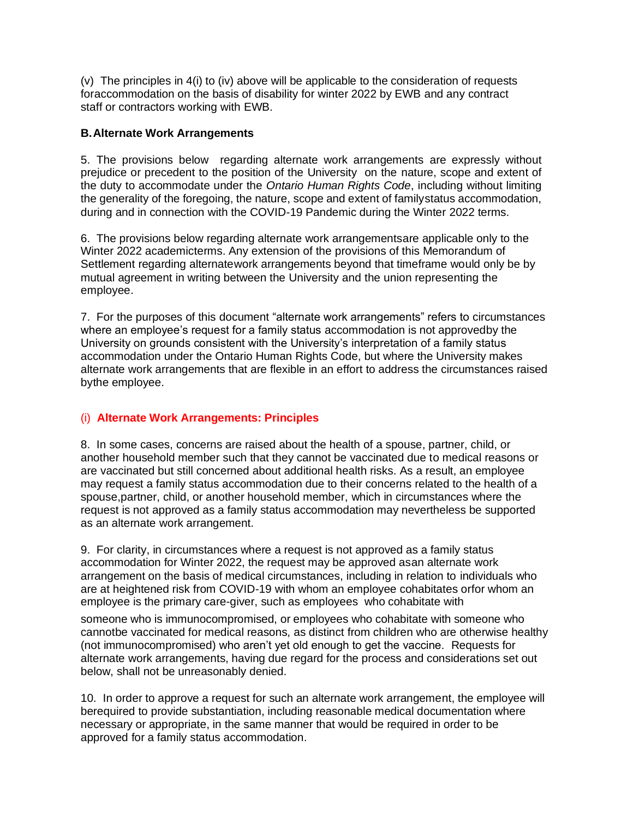(v) The principles in 4(i) to (iv) above will be applicable to the consideration of requests foraccommodation on the basis of disability for winter 2022 by EWB and any contract staff or contractors working with EWB.

# **B.Alternate Work Arrangements**

5. The provisions below regarding alternate work arrangements are expressly without prejudice or precedent to the position of the University on the nature, scope and extent of the duty to accommodate under the *Ontario Human Rights Code*, including without limiting the generality of the foregoing, the nature, scope and extent of familystatus accommodation, during and in connection with the COVID-19 Pandemic during the Winter 2022 terms.

6. The provisions below regarding alternate work arrangementsare applicable only to the Winter 2022 academicterms. Any extension of the provisions of this Memorandum of Settlement regarding alternatework arrangements beyond that timeframe would only be by mutual agreement in writing between the University and the union representing the employee.

7. For the purposes of this document "alternate work arrangements" refers to circumstances where an employee's request for a family status accommodation is not approvedby the University on grounds consistent with the University's interpretation of a family status accommodation under the Ontario Human Rights Code, but where the University makes alternate work arrangements that are flexible in an effort to address the circumstances raised bythe employee.

# (i) **Alternate Work Arrangements: Principles**

8. In some cases, concerns are raised about the health of a spouse, partner, child, or another household member such that they cannot be vaccinated due to medical reasons or are vaccinated but still concerned about additional health risks. As a result, an employee may request a family status accommodation due to their concerns related to the health of a spouse,partner, child, or another household member, which in circumstances where the request is not approved as a family status accommodation may nevertheless be supported as an alternate work arrangement.

9. For clarity, in circumstances where a request is not approved as a family status accommodation for Winter 2022, the request may be approved asan alternate work arrangement on the basis of medical circumstances, including in relation to individuals who are at heightened risk from COVID-19 with whom an employee cohabitates orfor whom an employee is the primary care-giver, such as employees who cohabitate with

someone who is immunocompromised, or employees who cohabitate with someone who cannotbe vaccinated for medical reasons, as distinct from children who are otherwise healthy (not immunocompromised) who aren't yet old enough to get the vaccine. Requests for alternate work arrangements, having due regard for the process and considerations set out below, shall not be unreasonably denied.

10. In order to approve a request for such an alternate work arrangement, the employee will berequired to provide substantiation, including reasonable medical documentation where necessary or appropriate, in the same manner that would be required in order to be approved for a family status accommodation.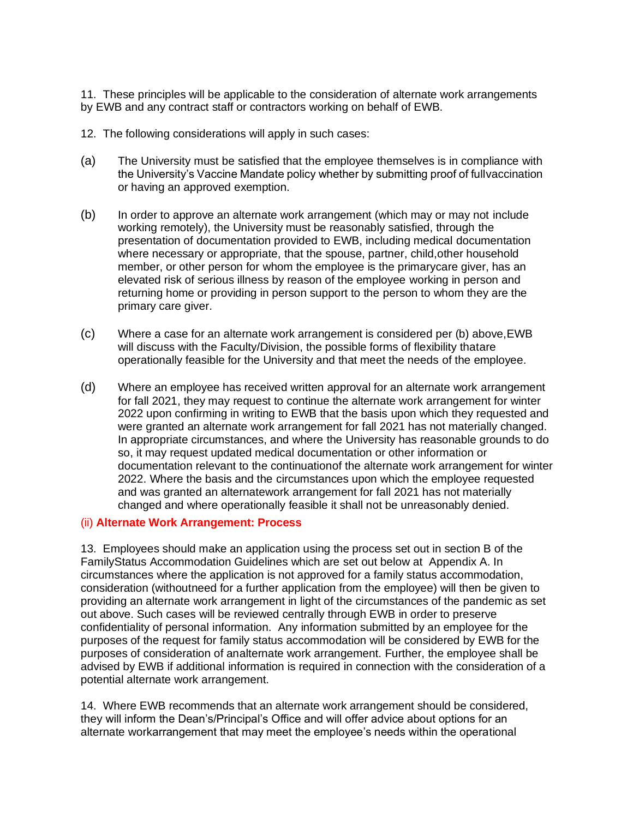11. These principles will be applicable to the consideration of alternate work arrangements by EWB and any contract staff or contractors working on behalf of EWB.

- 12. The following considerations will apply in such cases:
- (a) The University must be satisfied that the employee themselves is in compliance with the University's Vaccine Mandate policy whether by submitting proof of fullvaccination or having an approved exemption.
- (b) In order to approve an alternate work arrangement (which may or may not include working remotely), the University must be reasonably satisfied, through the presentation of documentation provided to EWB, including medical documentation where necessary or appropriate, that the spouse, partner, child,other household member, or other person for whom the employee is the primarycare giver, has an elevated risk of serious illness by reason of the employee working in person and returning home or providing in person support to the person to whom they are the primary care giver.
- (c) Where a case for an alternate work arrangement is considered per (b) above,EWB will discuss with the Faculty/Division, the possible forms of flexibility thatare operationally feasible for the University and that meet the needs of the employee.
- (d) Where an employee has received written approval for an alternate work arrangement for fall 2021, they may request to continue the alternate work arrangement for winter 2022 upon confirming in writing to EWB that the basis upon which they requested and were granted an alternate work arrangement for fall 2021 has not materially changed. In appropriate circumstances, and where the University has reasonable grounds to do so, it may request updated medical documentation or other information or documentation relevant to the continuationof the alternate work arrangement for winter 2022. Where the basis and the circumstances upon which the employee requested and was granted an alternatework arrangement for fall 2021 has not materially changed and where operationally feasible it shall not be unreasonably denied.

#### (ii) **Alternate Work Arrangement: Process**

13. Employees should make an application using the process set out in section B of the FamilyStatus Accommodation Guidelines which are set out below at Appendix A. In circumstances where the application is not approved for a family status accommodation, consideration (withoutneed for a further application from the employee) will then be given to providing an alternate work arrangement in light of the circumstances of the pandemic as set out above. Such cases will be reviewed centrally through EWB in order to preserve confidentiality of personal information. Any information submitted by an employee for the purposes of the request for family status accommodation will be considered by EWB for the purposes of consideration of analternate work arrangement. Further, the employee shall be advised by EWB if additional information is required in connection with the consideration of a potential alternate work arrangement.

14. Where EWB recommends that an alternate work arrangement should be considered, they will inform the Dean's/Principal's Office and will offer advice about options for an alternate workarrangement that may meet the employee's needs within the operational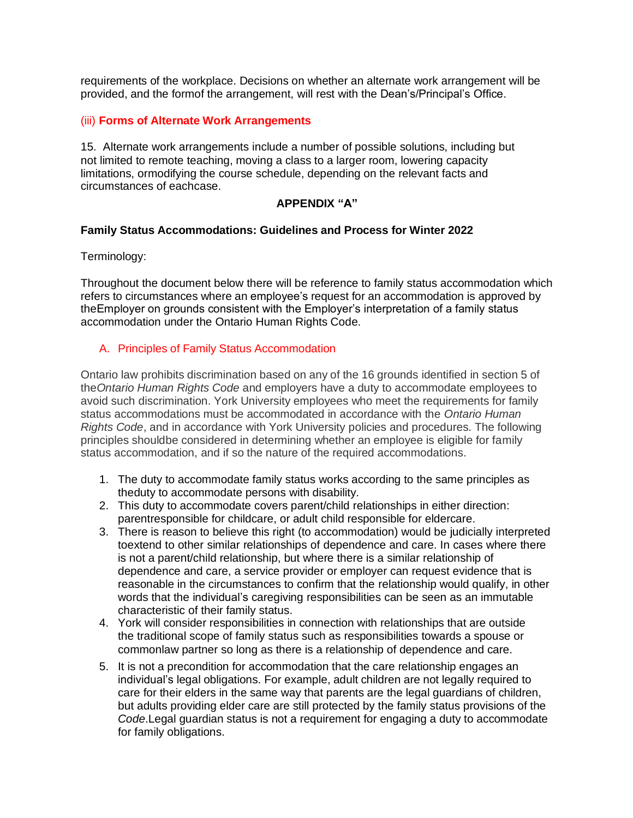requirements of the workplace. Decisions on whether an alternate work arrangement will be provided, and the formof the arrangement, will rest with the Dean's/Principal's Office.

#### (iii) **Forms of Alternate Work Arrangements**

15. Alternate work arrangements include a number of possible solutions, including but not limited to remote teaching, moving a class to a larger room, lowering capacity limitations, ormodifying the course schedule, depending on the relevant facts and circumstances of eachcase.

# **APPENDIX "A"**

### **Family Status Accommodations: Guidelines and Process for Winter 2022**

#### Terminology:

Throughout the document below there will be reference to family status accommodation which refers to circumstances where an employee's request for an accommodation is approved by theEmployer on grounds consistent with the Employer's interpretation of a family status accommodation under the Ontario Human Rights Code.

# A. Principles of Family Status Accommodation

Ontario law prohibits discrimination based on any of the 16 grounds identified in section 5 of the*Ontario Human Rights Code* and employers have a duty to accommodate employees to avoid such discrimination. York University employees who meet the requirements for family status accommodations must be accommodated in accordance with the *Ontario Human Rights Code*, and in accordance with York University policies and procedures. The following principles shouldbe considered in determining whether an employee is eligible for family status accommodation, and if so the nature of the required accommodations.

- 1. The duty to accommodate family status works according to the same principles as theduty to accommodate persons with disability.
- 2. This duty to accommodate covers parent/child relationships in either direction: parentresponsible for childcare, or adult child responsible for eldercare.
- 3. There is reason to believe this right (to accommodation) would be judicially interpreted toextend to other similar relationships of dependence and care. In cases where there is not a parent/child relationship, but where there is a similar relationship of dependence and care, a service provider or employer can request evidence that is reasonable in the circumstances to confirm that the relationship would qualify, in other words that the individual's caregiving responsibilities can be seen as an immutable characteristic of their family status.
- 4. York will consider responsibilities in connection with relationships that are outside the traditional scope of family status such as responsibilities towards a spouse or commonlaw partner so long as there is a relationship of dependence and care.
- 5. It is not a precondition for accommodation that the care relationship engages an individual's legal obligations. For example, adult children are not legally required to care for their elders in the same way that parents are the legal guardians of children, but adults providing elder care are still protected by the family status provisions of the *Code*.Legal guardian status is not a requirement for engaging a duty to accommodate for family obligations.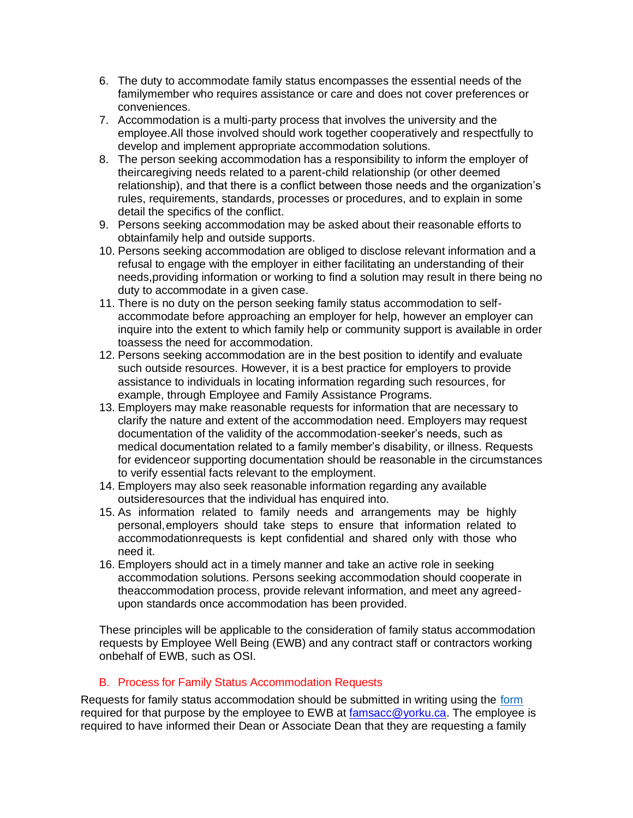- 6. The duty to accommodate family status encompasses the essential needs of the familymember who requires assistance or care and does not cover preferences or conveniences.
- 7. Accommodation is a multi-party process that involves the university and the employee.All those involved should work together cooperatively and respectfully to develop and implement appropriate accommodation solutions.
- 8. The person seeking accommodation has a responsibility to inform the employer of theircaregiving needs related to a parent-child relationship (or other deemed relationship), and that there is a conflict between those needs and the organization's rules, requirements, standards, processes or procedures, and to explain in some detail the specifics of the conflict.
- 9. Persons seeking accommodation may be asked about their reasonable efforts to obtainfamily help and outside supports.
- 10. Persons seeking accommodation are obliged to disclose relevant information and a refusal to engage with the employer in either facilitating an understanding of their needs,providing information or working to find a solution may result in there being no duty to accommodate in a given case.
- 11. There is no duty on the person seeking family status accommodation to selfaccommodate before approaching an employer for help, however an employer can inquire into the extent to which family help or community support is available in order toassess the need for accommodation.
- 12. Persons seeking accommodation are in the best position to identify and evaluate such outside resources. However, it is a best practice for employers to provide assistance to individuals in locating information regarding such resources, for example, through Employee and Family Assistance Programs.
- 13. Employers may make reasonable requests for information that are necessary to clarify the nature and extent of the accommodation need. Employers may request documentation of the validity of the accommodation-seeker's needs, such as medical documentation related to a family member's disability, or illness. Requests for evidenceor supporting documentation should be reasonable in the circumstances to verify essential facts relevant to the employment.
- 14. Employers may also seek reasonable information regarding any available outsideresources that the individual has enquired into.
- 15. As information related to family needs and arrangements may be highly personal,employers should take steps to ensure that information related to accommodationrequests is kept confidential and shared only with those who need it.
- 16. Employers should act in a timely manner and take an active role in seeking accommodation solutions. Persons seeking accommodation should cooperate in theaccommodation process, provide relevant information, and meet any agreedupon standards once accommodation has been provided.

These principles will be applicable to the consideration of family status accommodation requests by Employee Well Being (EWB) and any contract staff or contractors working onbehalf of EWB, such as OSI.

# B. Process for Family Status Accommodation Requests

Requests for family status accommodation should be submitted in writing using the [form](https://yulink-new.yorku.ca/group/yulink/family-status-accommodation) required for that purpose by the employee to EWB at [famsacc@yorku.ca. T](mailto:famsacc@yorku.ca)he employee is required to have informed their Dean or Associate Dean that they are requesting a family